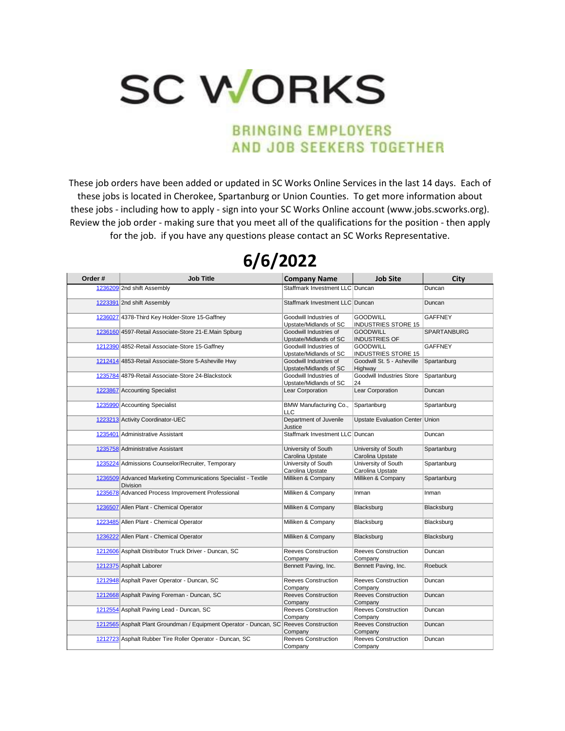## **SC WORKS**

## **BRINGING EMPLOYERS** AND JOB SEEKERS TOGETHER

These job orders have been added or updated in SC Works Online Services in the last 14 days. Each of these jobs is located in Cherokee, Spartanburg or Union Counties. To get more information about these jobs - including how to apply - sign into your SC Works Online account (www.jobs.scworks.org). Review the job order - making sure that you meet all of the qualifications for the position - then apply for the job. if you have any questions please contact an SC Works Representative.

## **Order # Job Title Company Name Job Site City**<br> **City Staffmark Investment LLC Duncan Duncan Duncan** Staffmark Investment LLC Duncan Duncan 1223391 2nd shift Assembly Staffmark Investment LLC Duncan Duncan 1236027 4378-Third Key Holder-Store 15-Gaffney Goodwill Industries of Upstate/Midlands of SC **GOODWILL** INDUSTRIES STORE 15 **GAFFNEY** 1236160 4597-Retail Associate-Store 21-E.Main Spburg Goodwill Industries of Upstate/Midlands of SC **GOODWILL** INDUSTRIES OF SPARTANBURG 1212390 4852-Retail Associate-Store 15-Gaffney Goodwill Industries of Upstate/Midlands of SC **GOODWILL** INDUSTRIES STORE 15 **GAFFNEY** 1212414 4853-Retail Associate-Store 5-Asheville Hwy Goodwill Industries of Upstate/Midlands of SC Goodwill St. 5 - Asheville **Highway** Spartanburg 1235784 4879-Retail Associate-Store 24-Blackstock Goodwill Industries of Upstate/Midlands of SC<br>Lear Corporation Goodwill Industries Store 24<br>Lear Corporation **Spartanburg** 1223867 Accounting Specialist Lear Corporation Lear Corporation Duncan 1235990 Accounting Specialist BMW Manufacturing Co., LLC<br>Department of Juvenile Spartanburg Spartanburg 1223213 Activity Coordinator-UEC Justice Upstate Evaluation Center Union 1235401 Administrative Assistant Number 2012 1235401 Administrative Assistant Number 2013 12:35401 Administrative Assistant 1235758 Administrative Assistant University of South Carolina Upstate<br>University of South University of South Carolina Upstate **Spartanburg** 1235224 Admissions Counselor/Recruiter, Temporary Carolina Upstate University of South Carolina Upstate **Spartanburg** 1236509 Advanced Marketing Communications Specialist - Textile Division Milliken & Company Milliken & Company Spartanburg 1235678 Advanced Process Improvement Professional Milliken & Company Inman Inman Inman 1236507 Allen Plant - Chemical Operator **Milliken & Company** Blacksburg Blacksburg Blacksburg Blacksburg Blacksburg 1223485 Allen Plant - Chemical Operator **Milliken & Company** Blacksburg Blacksburg Blacksburg Blacksburg Blacksburg 1236222 Allen Plant - Chemical Operator Milliken & Company Blacksburg Blacksburg Blacksburg Blacksburg Blacksburg 1212606 Asphalt Distributor Truck Driver - Duncan, SC Reeves Construction Company<br>Bennett Paving, Inc. Reeves Construction Company<br>Bennett Paving, Inc. Duncan 1212375 Asphalt Laborer **Bennett Paving, Inc.** Bennett Paving, Inc. Bennett Paving, Inc. Roebuck 1212948 Asphalt Paver Operator - Duncan, SC Reeves Construction Company Reeves Construction **Company** Duncan 1212668 Asphalt Paving Foreman - Duncan, SC Reeves Construction Company Reeves Construction Company Duncan 1212554 Asphalt Paving Lead - Duncan, SC Reeves Construction Company Reeves Construction Company Duncan 1212565 Asphalt Plant Groundman / Equipment Operator - Duncan, SC Reeves Construction **Company**<br>Reeves Construction Reeves Construction **Company** Duncan 1212723 Asphalt Rubber Tire Roller Operator - Duncan, SC Company Reeves Construction Company Duncan

## **6/6/2022**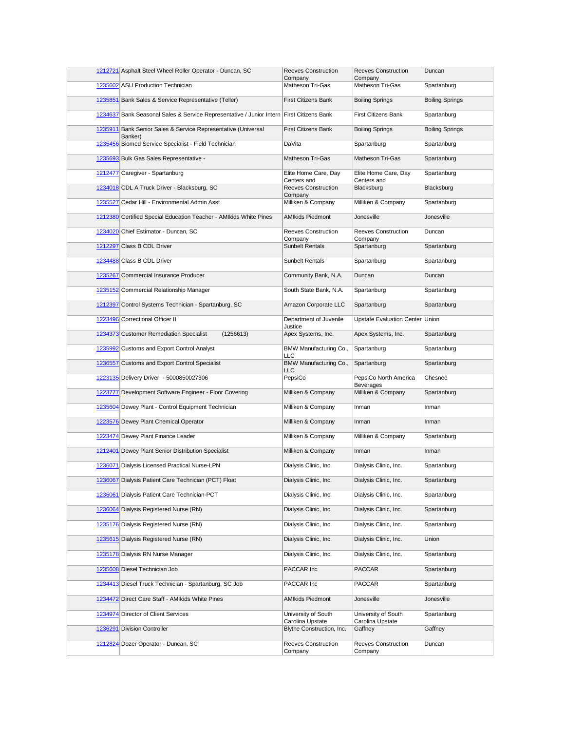| 1212721 Asphalt Steel Wheel Roller Operator - Duncan, SC                                 | <b>Reeves Construction</b><br>Company   | Reeves Construction<br>Company          | Duncan                 |
|------------------------------------------------------------------------------------------|-----------------------------------------|-----------------------------------------|------------------------|
| 1235602 ASU Production Technician                                                        | Matheson Tri-Gas                        | Matheson Tri-Gas                        | Spartanburg            |
| 1235851 Bank Sales & Service Representative (Teller)                                     | <b>First Citizens Bank</b>              | <b>Boiling Springs</b>                  | <b>Boiling Springs</b> |
| 1234637 Bank Seasonal Sales & Service Representative / Junior Intern First Citizens Bank |                                         | <b>First Citizens Bank</b>              | Spartanburg            |
| 1235911 Bank Senior Sales & Service Representative (Universal<br>Banker)                 | <b>First Citizens Bank</b>              | <b>Boiling Springs</b>                  | <b>Boiling Springs</b> |
| 1235456 Biomed Service Specialist - Field Technician                                     | DaVita                                  | Spartanburg                             | Spartanburg            |
| 1235693 Bulk Gas Sales Representative -                                                  | <b>Matheson Tri-Gas</b>                 | Matheson Tri-Gas                        | Spartanburg            |
| 1212477 Caregiver - Spartanburg                                                          | Elite Home Care, Day<br>Centers and     | Elite Home Care, Day<br>Centers and     | Spartanburg            |
| 1234018 CDL A Truck Driver - Blacksburg, SC                                              | <b>Reeves Construction</b><br>Company   | Blacksburg                              | Blacksburg             |
| 1235527 Cedar Hill - Environmental Admin Asst                                            | Milliken & Company                      | Milliken & Company                      | Spartanburg            |
| 1212380 Certified Special Education Teacher - AMIkids White Pines                        | <b>AMIkids Piedmont</b>                 | Jonesville                              | Jonesville             |
| 1234020 Chief Estimator - Duncan, SC                                                     | <b>Reeves Construction</b><br>Company   | <b>Reeves Construction</b><br>Company   | Duncan                 |
| 1212297 Class B CDL Driver                                                               | <b>Sunbelt Rentals</b>                  | Spartanburg                             | Spartanburg            |
| 1234488 Class B CDL Driver                                                               | <b>Sunbelt Rentals</b>                  | Spartanburg                             | Spartanburg            |
| 1235267 Commercial Insurance Producer                                                    | Community Bank, N.A.                    | Duncan                                  | Duncan                 |
| 1235152 Commercial Relationship Manager                                                  | South State Bank, N.A.                  | Spartanburg                             | Spartanburg            |
| 1212397 Control Systems Technician - Spartanburg, SC                                     | Amazon Corporate LLC                    | Spartanburg                             | Spartanburg            |
| 1223496 Correctional Officer II                                                          | Department of Juvenile<br>Justice       | Upstate Evaluation Center   Union       |                        |
| 1234373 Customer Remediation Specialist<br>(1256613)                                     | Apex Systems, Inc.                      | Apex Systems, Inc.                      | Spartanburg            |
| 1235992 Customs and Export Control Analyst                                               | BMW Manufacturing Co.,<br><b>LLC</b>    | Spartanburg                             | Spartanburg            |
| 1236557 Customs and Export Control Specialist                                            | BMW Manufacturing Co.,<br>LLC           | Spartanburg                             | Spartanburg            |
| 1223135 Delivery Driver - 5000850027306                                                  | PepsiCo                                 | PepsiCo North America<br>Beverages      | Chesnee                |
| 1223777 Development Software Engineer - Floor Covering                                   | Milliken & Company                      | Milliken & Company                      | Spartanburg            |
| 1235604 Dewey Plant - Control Equipment Technician                                       | Milliken & Company                      | Inman                                   | Inman                  |
| 1223576 Dewey Plant Chemical Operator                                                    | Milliken & Company                      | Inman                                   | Inman                  |
| 1223474 Dewey Plant Finance Leader                                                       | Milliken & Company                      | Milliken & Company                      | Spartanburg            |
| 1212401 Dewey Plant Senior Distribution Specialist                                       | Milliken & Company                      | Inman                                   | Inman                  |
| 1236071 Dialysis Licensed Practical Nurse-LPN                                            | Dialysis Clinic, Inc.                   | Dialysis Clinic, Inc.                   | Spartanburg            |
| 1236067 Dialysis Patient Care Technician (PCT) Float                                     | Dialysis Clinic, Inc.                   | Dialysis Clinic, Inc.                   | Spartanburg            |
| 1236061 Dialysis Patient Care Technician-PCT                                             | Dialysis Clinic, Inc.                   | Dialysis Clinic, Inc.                   | Spartanburg            |
| 1236064 Dialysis Registered Nurse (RN)                                                   | Dialysis Clinic, Inc.                   | Dialysis Clinic, Inc.                   | Spartanburg            |
| 1235176 Dialysis Registered Nurse (RN)                                                   | Dialysis Clinic, Inc.                   | Dialysis Clinic, Inc.                   | Spartanburg            |
| 1235615 Dialysis Registered Nurse (RN)                                                   | Dialysis Clinic, Inc.                   | Dialysis Clinic, Inc.                   | Union                  |
| 1235178 Dialysis RN Nurse Manager                                                        | Dialysis Clinic, Inc.                   | Dialysis Clinic, Inc.                   | Spartanburg            |
| 1235608 Diesel Technician Job                                                            | PACCAR Inc                              | PACCAR                                  | Spartanburg            |
| 1234413 Diesel Truck Technician - Spartanburg, SC Job                                    | PACCAR Inc                              | PACCAR                                  | Spartanburg            |
| 1234472 Direct Care Staff - AMIkids White Pines                                          | <b>AMIkids Piedmont</b>                 | Jonesville                              | Jonesville             |
| 1234974 Director of Client Services                                                      | University of South<br>Carolina Upstate | University of South<br>Carolina Upstate | Spartanburg            |
| 1236291 Division Controller                                                              | Blythe Construction, Inc.               | Gaffney                                 | Gaffney                |
| 1212824 Dozer Operator - Duncan, SC                                                      | Reeves Construction<br>Company          | Reeves Construction<br>Company          | Duncan                 |
|                                                                                          |                                         |                                         |                        |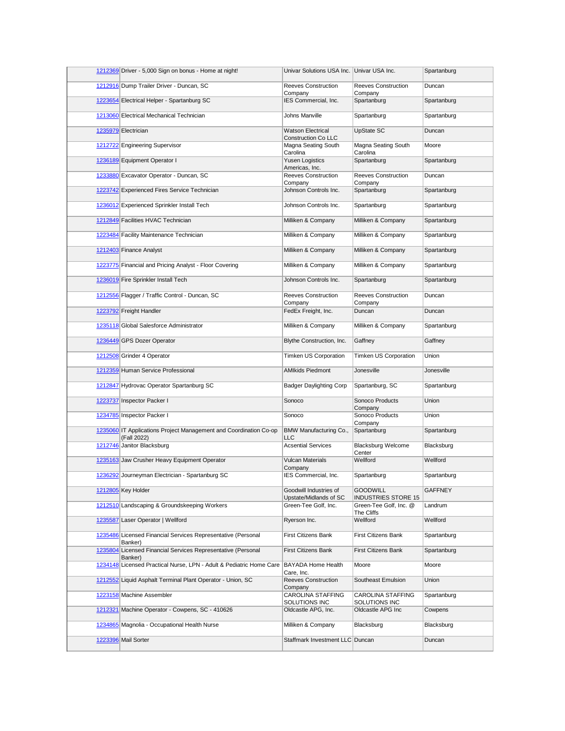| 1212369 Driver - 5,000 Sign on bonus - Home at night!                            | Univar Solutions USA Inc. Univar USA Inc.      |                                               | Spartanburg    |
|----------------------------------------------------------------------------------|------------------------------------------------|-----------------------------------------------|----------------|
| 1212916 Dump Trailer Driver - Duncan, SC                                         | <b>Reeves Construction</b><br>Company          | <b>Reeves Construction</b><br>Company         | Duncan         |
| 1223654 Electrical Helper - Spartanburg SC                                       | IES Commercial, Inc.                           | Spartanburg                                   | Spartanburg    |
| 1213060 Electrical Mechanical Technician                                         | Johns Manville                                 | Spartanburg                                   | Spartanburg    |
| 1235979 Electrician                                                              | <b>Watson Electrical</b>                       | UpState SC                                    | Duncan         |
| 1212722 Engineering Supervisor                                                   | Construction Co LLC<br>Magna Seating South     | Magna Seating South                           | Moore          |
| 1236189 Equipment Operator I                                                     | Carolina<br><b>Yusen Logistics</b>             | Carolina<br>Spartanburg                       | Spartanburg    |
| 1233880 Excavator Operator - Duncan, SC                                          | Americas, Inc.<br><b>Reeves Construction</b>   | <b>Reeves Construction</b>                    | Duncan         |
| 1223742 Experienced Fires Service Technician                                     | Company<br>Johnson Controls Inc.               | Company<br>Spartanburg                        | Spartanburg    |
|                                                                                  |                                                |                                               |                |
| 1236012 Experienced Sprinkler Install Tech                                       | Johnson Controls Inc.                          | Spartanburg                                   | Spartanburg    |
| 1212849 Facilities HVAC Technician                                               | Milliken & Company                             | Milliken & Company                            | Spartanburg    |
| 1223484 Facility Maintenance Technician                                          | Milliken & Company                             | Milliken & Company                            | Spartanburg    |
| 1212403 Finance Analyst                                                          | Milliken & Company                             | Milliken & Company                            | Spartanburg    |
| 1223775 Financial and Pricing Analyst - Floor Covering                           | Milliken & Company                             | Milliken & Company                            | Spartanburg    |
| 1236019 Fire Sprinkler Install Tech                                              | Johnson Controls Inc.                          | Spartanburg                                   | Spartanburg    |
| 1212556 Flagger / Traffic Control - Duncan, SC                                   | <b>Reeves Construction</b><br>Company          | <b>Reeves Construction</b><br>Company         | Duncan         |
| 1223792 Freight Handler                                                          | FedEx Freight, Inc.                            | Duncan                                        | Duncan         |
| 1235118 Global Salesforce Administrator                                          | Milliken & Company                             | Milliken & Company                            | Spartanburg    |
| 1236449 GPS Dozer Operator                                                       | Blythe Construction, Inc.                      | Gaffney                                       | Gaffney        |
| 1212508 Grinder 4 Operator                                                       | Timken US Corporation                          | <b>Timken US Corporation</b>                  | Union          |
| 1212359 Human Service Professional                                               | <b>AMIkids Piedmont</b>                        | Jonesville                                    | Jonesville     |
| 1212847 Hydrovac Operator Spartanburg SC                                         | <b>Badger Daylighting Corp</b>                 | Spartanburg, SC                               | Spartanburg    |
| 1223737 Inspector Packer I                                                       | Sonoco                                         | Sonoco Products<br>Company                    | Union          |
| 1234785 Inspector Packer I                                                       | Sonoco                                         | Sonoco Products<br>Company                    | Union          |
| 1235060 IT Applications Project Management and Coordination Co-op<br>(Fall 2022) | BMW Manufacturing Co.,<br><b>LLC</b>           | Spartanburg                                   | Spartanburg    |
| 1212746 Janitor Blacksburg                                                       | <b>Acsential Services</b>                      | <b>Blacksburg Welcome</b><br>Center           | Blacksburg     |
| 1235163 Jaw Crusher Heavy Equipment Operator                                     | <b>Vulcan Materials</b>                        | Wellford                                      | Wellford       |
| 1236292 Journeyman Electrician - Spartanburg SC                                  | Company<br>IES Commercial, Inc.                | Spartanburg                                   | Spartanburg    |
| 1212805 Key Holder                                                               | Goodwill Industries of                         | <b>GOODWILL</b>                               | <b>GAFFNEY</b> |
| 1212510 Landscaping & Groundskeeping Workers                                     | Upstate/Midlands of SC<br>Green-Tee Golf, Inc. | INDUSTRIES STORE 15<br>Green-Tee Golf, Inc. @ | Landrum        |
| 1235587 Laser Operator   Wellford                                                | Ryerson Inc.                                   | The Cliffs<br>Wellford                        | Wellford       |
| 1235486 Licensed Financial Services Representative (Personal                     | First Citizens Bank                            | <b>First Citizens Bank</b>                    | Spartanburg    |
| Banker)<br>1235804 Licensed Financial Services Representative (Personal          | First Citizens Bank                            | <b>First Citizens Bank</b>                    | Spartanburg    |
| Banker)<br>1234148 Licensed Practical Nurse, LPN - Adult & Pediatric Home Care   | <b>BAYADA Home Health</b>                      | Moore                                         | Moore          |
|                                                                                  | Care, Inc.<br><b>Reeves Construction</b>       |                                               |                |
| 1212552 Liquid Asphalt Terminal Plant Operator - Union, SC                       | Company                                        | Southeast Emulsion                            | Union          |
| 1223158 Machine Assembler                                                        | CAROLINA STAFFING<br>SOLUTIONS INC             | CAROLINA STAFFING<br>SOLUTIONS INC            | Spartanburg    |
| 1212321 Machine Operator - Cowpens, SC - 410626                                  | Oldcastle APG, Inc.                            | Oldcastle APG Inc                             | Cowpens        |
| 1234865 Magnolia - Occupational Health Nurse                                     | Milliken & Company                             | Blacksburg                                    | Blacksburg     |
| 1223396 Mail Sorter                                                              | Staffmark Investment LLC Duncan                |                                               | Duncan         |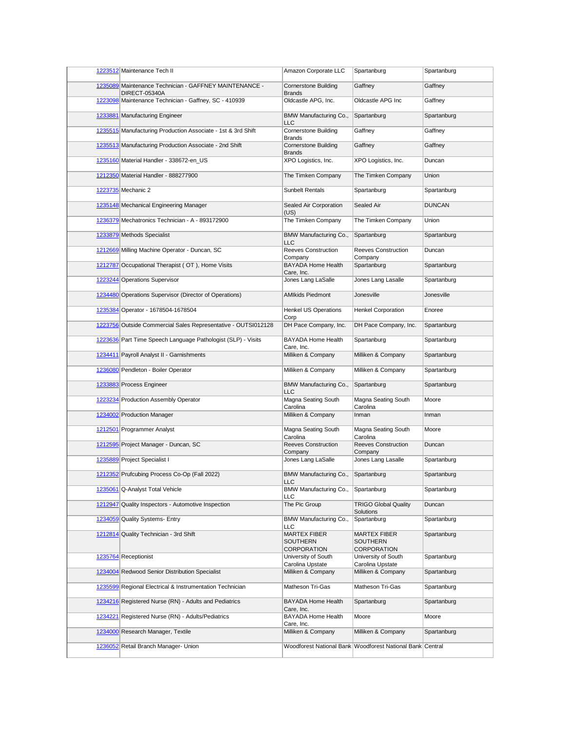| 1223512 Maintenance Tech II                                                    | Amazon Corporate LLC                                  | Spartanburg                                               | Spartanburg   |
|--------------------------------------------------------------------------------|-------------------------------------------------------|-----------------------------------------------------------|---------------|
| 1235089 Maintenance Technician - GAFFNEY MAINTENANCE -<br><b>DIRECT-05340A</b> | <b>Cornerstone Building</b><br><b>Brands</b>          | Gaffney                                                   | Gaffney       |
| 1223098 Maintenance Technician - Gaffney, SC - 410939                          | Oldcastle APG, Inc.                                   | Oldcastle APG Inc                                         | Gaffney       |
| 1233881 Manufacturing Engineer                                                 | BMW Manufacturing Co.,<br>LLC                         | Spartanburg                                               | Spartanburg   |
| 1235515 Manufacturing Production Associate - 1st & 3rd Shift                   | <b>Cornerstone Building</b><br><b>Brands</b>          | Gaffney                                                   | Gaffney       |
| 1235513 Manufacturing Production Associate - 2nd Shift                         | <b>Cornerstone Building</b><br><b>Brands</b>          | Gaffney                                                   | Gaffney       |
| 1235160 Material Handler - 338672-en_US                                        | XPO Logistics, Inc.                                   | XPO Logistics, Inc.                                       | Duncan        |
| 1212350 Material Handler - 888277900                                           | The Timken Company                                    | The Timken Company                                        | Union         |
| 1223735 Mechanic 2                                                             | <b>Sunbelt Rentals</b>                                | Spartanburg                                               | Spartanburg   |
| 1235148 Mechanical Engineering Manager                                         | Sealed Air Corporation<br>(US)                        | Sealed Air                                                | <b>DUNCAN</b> |
| 1236379 Mechatronics Technician - A - 893172900                                | The Timken Company                                    | The Timken Company                                        | Union         |
| 1233879 Methods Specialist                                                     | BMW Manufacturing Co.,<br><b>LLC</b>                  | Spartanburg                                               | Spartanburg   |
| 1212669 Milling Machine Operator - Duncan, SC                                  | Reeves Construction<br>Company                        | <b>Reeves Construction</b><br>Company                     | Duncan        |
| 1212787 Occupational Therapist (OT), Home Visits                               | BAYADA Home Health<br>Care, Inc.                      | Spartanburg                                               | Spartanburg   |
| 1223244 Operations Supervisor                                                  | Jones Lang LaSalle                                    | Jones Lang Lasalle                                        | Spartanburg   |
| 1234480 Operations Supervisor (Director of Operations)                         | <b>AMIkids Piedmont</b>                               | Jonesville                                                | Jonesville    |
| 1235384 Operator - 1678504-1678504                                             | <b>Henkel US Operations</b>                           | <b>Henkel Corporation</b>                                 | Enoree        |
| 1223756 Outside Commercial Sales Representative - OUTSI012128                  | Corp<br>DH Pace Company, Inc.                         | DH Pace Company, Inc.                                     | Spartanburg   |
| 1223636 Part Time Speech Language Pathologist (SLP) - Visits                   | <b>BAYADA Home Health</b><br>Care, Inc.               | Spartanburg                                               | Spartanburg   |
| 1234411 Payroll Analyst II - Garnishments                                      | Milliken & Company                                    | Milliken & Company                                        | Spartanburg   |
| 1236080 Pendleton - Boiler Operator                                            | Milliken & Company                                    | Milliken & Company                                        | Spartanburg   |
| 1233883 Process Engineer                                                       | BMW Manufacturing Co.,<br><b>LLC</b>                  | Spartanburg                                               | Spartanburg   |
| 1223234 Production Assembly Operator                                           | Magna Seating South<br>Carolina                       | Magna Seating South<br>Carolina                           | Moore         |
| 1234002 Production Manager                                                     | Milliken & Company                                    | Inman                                                     | Inman         |
| 1212501 Programmer Analyst                                                     | Magna Seating South<br>Carolina                       | Magna Seating South<br>Carolina                           | Moore         |
| 1212595 Project Manager - Duncan, SC                                           | <b>Reeves Construction</b><br>Company                 | <b>Reeves Construction</b><br>Company                     | Duncan        |
| 1235889 Project Specialist I                                                   | Jones Lang LaSalle                                    | Jones Lang Lasalle                                        | Spartanburg   |
| 1212352 Prufcubing Process Co-Op (Fall 2022)                                   | BMW Manufacturing Co.,<br>LLC                         | Spartanburg                                               | Spartanburg   |
| 1235061 Q-Analyst Total Vehicle                                                | BMW Manufacturing Co.,<br>LLC                         | Spartanburg                                               | Spartanburg   |
| 1212947 Quality Inspectors - Automotive Inspection                             | The Pic Group                                         | <b>TRIGO Global Quality</b><br>Solutions                  | Duncan        |
| 1234059 Quality Systems- Entry                                                 | BMW Manufacturing Co.,<br><b>LLC</b>                  | Spartanburg                                               | Spartanburg   |
| 1212814 Quality Technician - 3rd Shift                                         | <b>MARTEX FIBER</b><br><b>SOUTHERN</b><br>CORPORATION | MARTEX FIBER<br>SOUTHERN<br>CORPORATION                   | Spartanburg   |
| 1235764 Receptionist                                                           | University of South                                   | University of South                                       | Spartanburg   |
| 1234004 Redwood Senior Distribution Specialist                                 | Carolina Upstate<br>Milliken & Company                | Carolina Upstate<br>Milliken & Company                    | Spartanburg   |
| 1235599 Regional Electrical & Instrumentation Technician                       | Matheson Tri-Gas                                      | Matheson Tri-Gas                                          | Spartanburg   |
| 1234216 Registered Nurse (RN) - Adults and Pediatrics                          | BAYADA Home Health                                    | Spartanburg                                               | Spartanburg   |
| 1234221 Registered Nurse (RN) - Adults/Pediatrics                              | Care, Inc.<br>BAYADA Home Health                      | Moore                                                     | Moore         |
| 1234000 Research Manager, Textile                                              | Care, Inc.<br>Milliken & Company                      | Milliken & Company                                        | Spartanburg   |
| 1236052 Retail Branch Manager- Union                                           |                                                       | Woodforest National Bank Woodforest National Bank Central |               |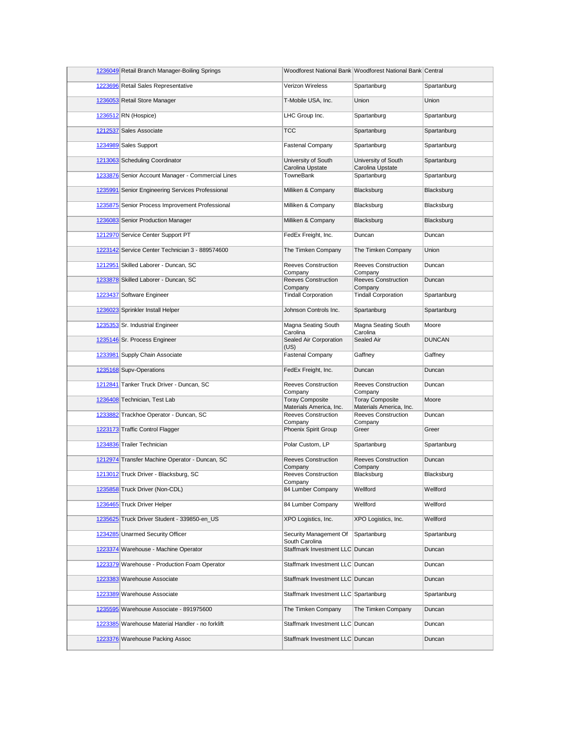| 1236049 Retail Branch Manager-Boiling Springs     |                                                   | Woodforest National Bank Woodforest National Bank Central |               |
|---------------------------------------------------|---------------------------------------------------|-----------------------------------------------------------|---------------|
| 1223696 Retail Sales Representative               | <b>Verizon Wireless</b>                           | Spartanburg                                               | Spartanburg   |
| 1236053 Retail Store Manager                      | T-Mobile USA, Inc.                                | Union                                                     | Union         |
| 1236512 RN (Hospice)                              | LHC Group Inc.                                    | Spartanburg                                               | Spartanburg   |
| 1212537 Sales Associate                           | <b>TCC</b>                                        | Spartanburg                                               | Spartanburg   |
| 1234989 Sales Support                             | <b>Fastenal Company</b>                           | Spartanburg                                               | Spartanburg   |
| 1213063 Scheduling Coordinator                    | University of South<br>Carolina Upstate           | University of South<br>Carolina Upstate                   | Spartanburg   |
| 1233876 Senior Account Manager - Commercial Lines | TowneBank                                         | Spartanburg                                               | Spartanburg   |
| 1235991 Senior Engineering Services Professional  | Milliken & Company                                | Blacksburg                                                | Blacksburg    |
| 1235875 Senior Process Improvement Professional   | Milliken & Company                                | Blacksburg                                                | Blacksburg    |
| 1236083 Senior Production Manager                 | Milliken & Company                                | Blacksburg                                                | Blacksburg    |
| 1212970 Service Center Support PT                 | FedEx Freight, Inc.                               | Duncan                                                    | Duncan        |
| 1223142 Service Center Technician 3 - 889574600   | The Timken Company                                | The Timken Company                                        | Union         |
| 1212951 Skilled Laborer - Duncan, SC              | <b>Reeves Construction</b><br>Company             | <b>Reeves Construction</b><br>Company                     | Duncan        |
| 1233878 Skilled Laborer - Duncan, SC              | <b>Reeves Construction</b><br>Company             | Reeves Construction<br>Company                            | Duncan        |
| 1223437 Software Engineer                         | <b>Tindall Corporation</b>                        | <b>Tindall Corporation</b>                                | Spartanburg   |
| 1236023 Sprinkler Install Helper                  | Johnson Controls Inc.                             | Spartanburg                                               | Spartanburg   |
| 1235353 Sr. Industrial Engineer                   | Magna Seating South<br>Carolina                   | Magna Seating South<br>Carolina                           | Moore         |
| 1235146 Sr. Process Engineer                      | Sealed Air Corporation<br>(US)                    | Sealed Air                                                | <b>DUNCAN</b> |
| 1233981 Supply Chain Associate                    | <b>Fastenal Company</b>                           | Gaffney                                                   | Gaffney       |
| 1235168 Supv-Operations                           | FedEx Freight, Inc.                               | Duncan                                                    | Duncan        |
| 1212841 Tanker Truck Driver - Duncan, SC          | <b>Reeves Construction</b><br>Company             | <b>Reeves Construction</b><br>Company                     | Duncan        |
| 1236408 Technician, Test Lab                      | <b>Toray Composite</b><br>Materials America, Inc. | <b>Toray Composite</b><br>Materials America, Inc.         | Moore         |
| 1233882 Trackhoe Operator - Duncan, SC            | <b>Reeves Construction</b><br>Company             | <b>Reeves Construction</b><br>Company                     | Duncan        |
| 1223173 Traffic Control Flagger                   | Phoenix Spirit Group                              | Greer                                                     | Greer         |
| 1234836 Trailer Technician                        | Polar Custom, LP                                  | Spartanburg                                               | Spartanburg   |
| 1212974 Transfer Machine Operator - Duncan, SC    | <b>Reeves Construction</b>                        | <b>Reeves Construction</b>                                | Duncan        |
| 1213012 Truck Driver - Blacksburg, SC             | Company<br><b>Reeves Construction</b>             | Company<br>Blacksburg                                     | Blacksburg    |
| 1235858 Truck Driver (Non-CDL)                    | Company<br>84 Lumber Company                      | Wellford                                                  | Wellford      |
| 1236465 Truck Driver Helper                       | 84 Lumber Company                                 | Wellford                                                  | Wellford      |
| 1235625 Truck Driver Student - 339850-en_US       | XPO Logistics, Inc.                               | XPO Logistics, Inc.                                       | Wellford      |
| 1234285 Unarmed Security Officer                  | Security Management Of                            | Spartanburg                                               | Spartanburg   |
| 1223374 Warehouse - Machine Operator              | South Carolina<br>Staffmark Investment LLC Duncan |                                                           | Duncan        |
| 1223379 Warehouse - Production Foam Operator      | Staffmark Investment LLC Duncan                   |                                                           | Duncan        |
| 1223383 Warehouse Associate                       | Staffmark Investment LLC Duncan                   |                                                           | Duncan        |
| 1223389 Warehouse Associate                       | Staffmark Investment LLC Spartanburg              |                                                           | Spartanburg   |
| 1235595 Warehouse Associate - 891975600           | The Timken Company                                | The Timken Company                                        | Duncan        |
| 1223385 Warehouse Material Handler - no forklift  | Staffmark Investment LLC Duncan                   |                                                           | Duncan        |
| 1223376 Warehouse Packing Assoc                   | Staffmark Investment LLC Duncan                   |                                                           | Duncan        |